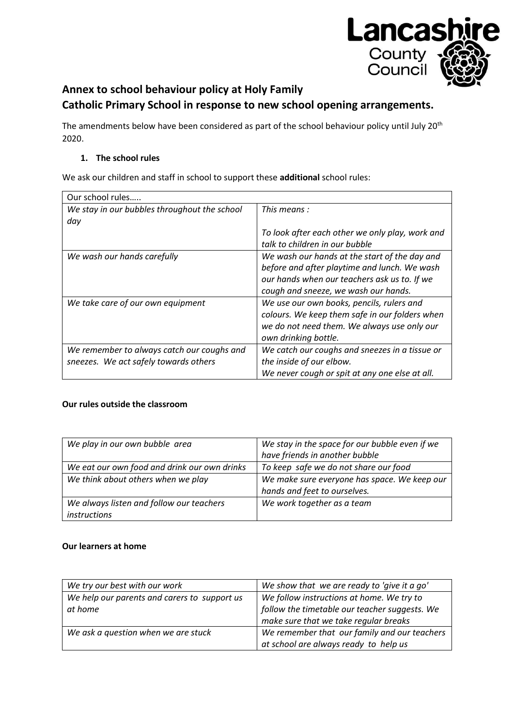

# **Annex to school behaviour policy at Holy Family Catholic Primary School in response to new school opening arrangements.**

The amendments below have been considered as part of the school behaviour policy until July 20<sup>th</sup> 2020.

# **1. The school rules**

We ask our children and staff in school to support these **additional** school rules:

| Our school rules                             |                                                 |
|----------------------------------------------|-------------------------------------------------|
| We stay in our bubbles throughout the school | This means :                                    |
| day                                          |                                                 |
|                                              | To look after each other we only play, work and |
|                                              | talk to children in our bubble                  |
| We wash our hands carefully                  | We wash our hands at the start of the day and   |
|                                              | before and after playtime and lunch. We wash    |
|                                              | our hands when our teachers ask us to. If we    |
|                                              | cough and sneeze, we wash our hands.            |
| We take care of our own equipment            | We use our own books, pencils, rulers and       |
|                                              | colours. We keep them safe in our folders when  |
|                                              | we do not need them. We always use only our     |
|                                              | own drinking bottle.                            |
| We remember to always catch our coughs and   | We catch our coughs and sneezes in a tissue or  |
| sneezes. We act safely towards others        | the inside of our elbow.                        |
|                                              | We never cough or spit at any one else at all.  |

# **Our rules outside the classroom**

| We play in our own bubble area               | We stay in the space for our bubble even if we |
|----------------------------------------------|------------------------------------------------|
|                                              | have friends in another bubble                 |
| We eat our own food and drink our own drinks | To keep safe we do not share our food          |
| We think about others when we play           | We make sure everyone has space. We keep our   |
|                                              | hands and feet to ourselves.                   |
| We always listen and follow our teachers     | We work together as a team                     |
| instructions                                 |                                                |

# **Our learners at home**

| We try our best with our work                | We show that we are ready to 'give it a go'   |
|----------------------------------------------|-----------------------------------------------|
| We help our parents and carers to support us | We follow instructions at home. We try to     |
| at home                                      | follow the timetable our teacher suggests. We |
|                                              | make sure that we take regular breaks         |
| We ask a question when we are stuck          | We remember that our family and our teachers  |
|                                              | at school are always ready to help us         |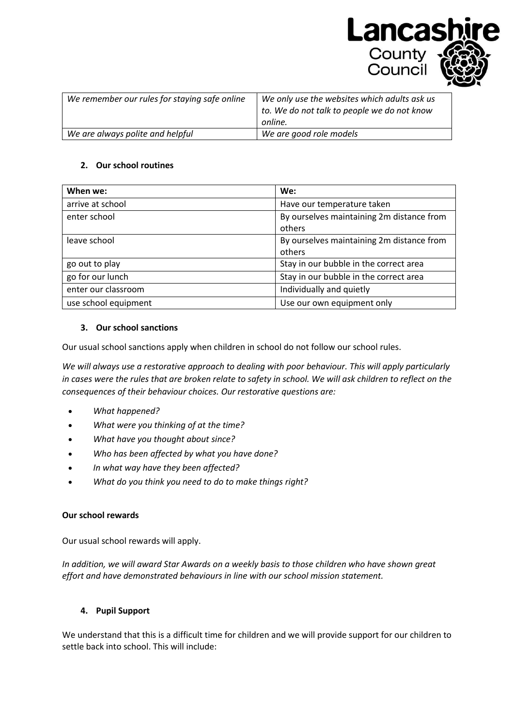

**Lancash** 

County Council

#### **2. Our school routines**

| When we:             | We:                                       |
|----------------------|-------------------------------------------|
| arrive at school     | Have our temperature taken                |
| enter school         | By ourselves maintaining 2m distance from |
|                      | others                                    |
| leave school         | By ourselves maintaining 2m distance from |
|                      | others                                    |
| go out to play       | Stay in our bubble in the correct area    |
| go for our lunch     | Stay in our bubble in the correct area    |
| enter our classroom  | Individually and quietly                  |
| use school equipment | Use our own equipment only                |

#### **3. Our school sanctions**

Our usual school sanctions apply when children in school do not follow our school rules.

*We will always use a restorative approach to dealing with poor behaviour. This will apply particularly in cases were the rules that are broken relate to safety in school. We will ask children to reflect on the consequences of their behaviour choices. Our restorative questions are:*

- *What happened?*
- *What were you thinking of at the time?*
- *What have you thought about since?*
- *Who has been affected by what you have done?*
- *In what way have they been affected?*
- *What do you think you need to do to make things right?*

#### **Our school rewards**

Our usual school rewards will apply.

*In addition, we will award Star Awards on a weekly basis to those children who have shown great effort and have demonstrated behaviours in line with our school mission statement.*

# **4. Pupil Support**

We understand that this is a difficult time for children and we will provide support for our children to settle back into school. This will include: